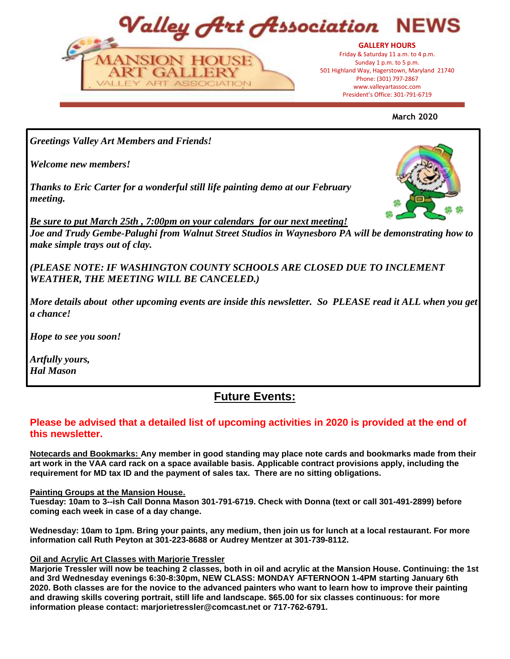Valley Art Association NFV



President's Office: 301-797-6719 President's Office: 301-791-6719**GALLERY HOURS** Friday & Saturday 11 a.m. to 4 p.m. Sunday 1 p.m. to 5 p.m. 501 Highland Way, Hagerstown, Maryland 21740 Phone: (301) 797-2867 www.valleyartassoc.com

**March 2020**

*Greetings Valley Art Members and Friends!*

*Welcome new members!*

*Thanks to Eric Carter for a wonderful still life painting demo at our February meeting.* 



*Be sure to put March 25th , 7:00pm on your calendars for our next meeting! Joe and Trudy Gembe-Palughi from Walnut Street Studios in Waynesboro PA will be demonstrating how to make simple trays out of clay.*

*(PLEASE NOTE: IF WASHINGTON COUNTY SCHOOLS ARE CLOSED DUE TO INCLEMENT WEATHER, THE MEETING WILL BE CANCELED.)*

*More details about other upcoming events are inside this newsletter. So PLEASE read it ALL when you get a chance!* 

*Hope to see you soon!*

*Artfully yours, Hal Mason*

# **Future Events:**

# **Please be advised that a detailed list of upcoming activities in 2020 is provided at the end of this newsletter.**

**Notecards and Bookmarks: Any member in good standing may place note cards and bookmarks made from their art work in the VAA card rack on a space available basis. Applicable contract provisions apply, including the requirement for MD tax ID and the payment of sales tax. There are no sitting obligations.**

#### **Painting Groups at the Mansion House.**

**Tuesday: 10am to 3--ish Call Donna Mason 301-791-6719. Check with Donna (text or call 301-491-2899) before coming each week in case of a day change.**

**Wednesday: 10am to 1pm. Bring your paints, any medium, then join us for lunch at a local restaurant. For more information call Ruth Peyton at 301-223-8688 or Audrey Mentzer at 301-739-8112.**

#### **Oil and Acrylic Art Classes with Marjorie Tressler**

**Marjorie Tressler will now be teaching 2 classes, both in oil and acrylic at the Mansion House. Continuing: the 1st and 3rd Wednesday evenings 6:30-8:30pm, NEW CLASS: MONDAY AFTERNOON 1-4PM starting January 6th 2020. Both classes are for the novice to the advanced painters who want to learn how to improve their painting and drawing skills covering portrait, still life and landscape. \$65.00 for six classes continuous: for more information please contact: marjorietressler@comcast.net or 717-762-6791.**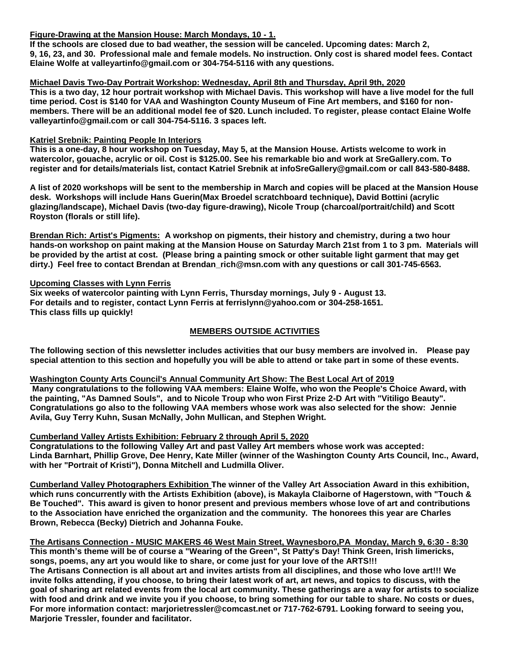## **Figure-Drawing at the Mansion House: March Mondays, 10 - 1.**

**If the schools are closed due to bad weather, the session will be canceled. Upcoming dates: March 2, 9, 16, 23, and 30. Professional male and female models. No instruction. Only cost is shared model fees. Contact Elaine Wolfe at valleyartinfo@gmail.com or 304-754-5116 with any questions.**

#### **Michael Davis Two-Day Portrait Workshop: Wednesday, April 8th and Thursday, April 9th, 2020**

**This is a two day, 12 hour portrait workshop with Michael Davis. This workshop will have a live model for the full time period. Cost is \$140 for VAA and Washington County Museum of Fine Art members, and \$160 for nonmembers. There will be an additional model fee of \$20. Lunch included. To register, please contact Elaine Wolfe valleyartinfo@gmail.com or call 304-754-5116. 3 spaces left.**

#### **Katriel Srebnik: Painting People In Interiors**

**This is a one-day, 8 hour workshop on Tuesday, May 5, at the Mansion House. Artists welcome to work in watercolor, gouache, acrylic or oil. Cost is \$125.00. See his remarkable bio and work at SreGallery.com. To register and for details/materials list, contact Katriel Srebnik at infoSreGallery@gmail.com or call 843-580-8488.**

**A list of 2020 workshops will be sent to the membership in March and copies will be placed at the Mansion House desk. Workshops will include Hans Guerin(Max Broedel scratchboard technique), David Bottini (acrylic glazing/landscape), Michael Davis (two-day figure-drawing), Nicole Troup (charcoal/portrait/child) and Scott Royston (florals or still life).**

**Brendan Rich: Artist's Pigments: A workshop on pigments, their history and chemistry, during a two hour hands-on workshop on paint making at the Mansion House on Saturday March 21st from 1 to 3 pm. Materials will be provided by the artist at cost. (Please bring a painting smock or other suitable light garment that may get dirty.) Feel free to contact Brendan at Brendan\_rich@msn.com with any questions or call 301-745-6563.** 

#### **Upcoming Classes with Lynn Ferris**

**Six weeks of watercolor painting with Lynn Ferris, Thursday mornings, July 9 - August 13. For details and to register, contact Lynn Ferris at ferrislynn@yahoo.com or 304-258-1651. This class fills up quickly!**

## **MEMBERS OUTSIDE ACTIVITIES**

**The following section of this newsletter includes activities that our busy members are involved in. Please pay special attention to this section and hopefully you will be able to attend or take part in some of these events.**

#### **Washington County Arts Council's Annual Community Art Show: The Best Local Art of 2019**

**Many congratulations to the following VAA members: Elaine Wolfe, who won the People's Choice Award, with the painting, "As Damned Souls", and to Nicole Troup who won First Prize 2-D Art with "Vitiligo Beauty". Congratulations go also to the following VAA members whose work was also selected for the show: Jennie Avila, Guy Terry Kuhn, Susan McNally, John Mullican, and Stephen Wright.**

#### **Cumberland Valley Artists Exhibition: February 2 through April 5, 2020**

**Congratulations to the following Valley Art and past Valley Art members whose work was accepted: Linda Barnhart, Phillip Grove, Dee Henry, Kate Miller (winner of the Washington County Arts Council, Inc., Award, with her "Portrait of Kristi"), Donna Mitchell and Ludmilla Oliver.** 

**Cumberland Valley Photographers Exhibition The winner of the Valley Art Association Award in this exhibition, which runs concurrently with the Artists Exhibition (above), is Makayla Claiborne of Hagerstown, with "Touch & Be Touched". This award is given to honor present and previous members whose love of art and contributions to the Association have enriched the organization and the community. The honorees this year are Charles Brown, Rebecca (Becky) Dietrich and Johanna Fouke.**

**The Artisans Connection - MUSIC MAKERS 46 West Main Street, Waynesboro,PA Monday, March 9, 6:30 - 8:30 This month's theme will be of course a "Wearing of the Green", St Patty's Day! Think Green, Irish limericks, songs, poems, any art you would like to share, or come just for your love of the ARTS!!! The Artisans Connection is all about art and invites artists from all disciplines, and those who love art!!! We invite folks attending, if you choose, to bring their latest work of art, art news, and topics to discuss, with the goal of sharing art related events from the local art community. These gatherings are a way for artists to socialize with food and drink and we invite you if you choose, to bring something for our table to share. No costs or dues, For more information contact: marjorietressler@comcast.net or 717-762-6791. Looking forward to seeing you, Marjorie Tressler, founder and facilitator.**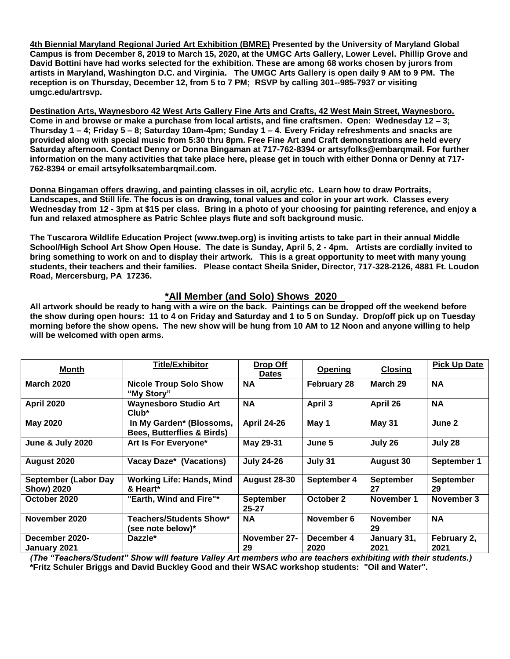**4th Biennial Maryland Regional Juried Art Exhibition (BMRE) Presented by the University of Maryland Global Campus is from December 8, 2019 to March 15, 2020, at the UMGC Arts Gallery, Lower Level. Phillip Grove and David Bottini have had works selected for the exhibition. These are among 68 works chosen by jurors from artists in Maryland, Washington D.C. and Virginia. The UMGC Arts Gallery is open daily 9 AM to 9 PM. The reception is on Thursday, December 12, from 5 to 7 PM; RSVP by calling 301--985-7937 or visiting umgc.edu/artrsvp.**

**Destination Arts, Waynesboro 42 West Arts Gallery Fine Arts and Crafts, 42 West Main Street, Waynesboro. Come in and browse or make a purchase from local artists, and fine craftsmen. Open: Wednesday 12 – 3; Thursday 1 – 4; Friday 5 – 8; Saturday 10am-4pm; Sunday 1 – 4. Every Friday refreshments and snacks are provided along with special music from 5:30 thru 8pm. Free Fine Art and Craft demonstrations are held every Saturday afternoon. Contact Denny or Donna Bingaman at 717-762-8394 or artsyfolks@embarqmail. For further information on the many activities that take place here, please get in touch with either Donna or Denny at 717- 762-8394 or email artsyfolksatembarqmail.com.**

**Donna Bingaman offers drawing, and painting classes in oil, acrylic etc. Learn how to draw Portraits, Landscapes, and Still life. The focus is on drawing, tonal values and color in your art work. Classes every Wednesday from 12 - 3pm at \$15 per class. Bring in a photo of your choosing for painting reference, and enjoy a fun and relaxed atmosphere as Patric Schlee plays flute and soft background music.** 

**The Tuscarora Wildlife Education Project (www.twep.org) is inviting artists to take part in their annual Middle School/High School Art Show Open House. The date is Sunday, April 5, 2 - 4pm. Artists are cordially invited to bring something to work on and to display their artwork. This is a great opportunity to meet with many young students, their teachers and their families. Please contact Sheila Snider, Director, 717-328-2126, 4881 Ft. Loudon Road, Mercersburg, PA 17236.**

## **\*All Member (and Solo) Shows 2020**

**All artwork should be ready to hang with a wire on the back. Paintings can be dropped off the weekend before the show during open hours: 11 to 4 on Friday and Saturday and 1 to 5 on Sunday. Drop/off pick up on Tuesday morning before the show opens. The new show will be hung from 10 AM to 12 Noon and anyone willing to help will be welcomed with open arms.** 

| <b>Month</b>                              | <b>Title/Exhibitor</b>                                            | Drop Off<br><b>Dates</b>      | <b>Opening</b>     | <b>Closing</b>         | <b>Pick Up Date</b>    |
|-------------------------------------------|-------------------------------------------------------------------|-------------------------------|--------------------|------------------------|------------------------|
| <b>March 2020</b>                         | <b>Nicole Troup Solo Show</b><br>"My Story"                       | <b>NA</b>                     | <b>February 28</b> | March 29               | <b>NA</b>              |
| <b>April 2020</b>                         | <b>Waynesboro Studio Art</b><br>$Club^*$                          | <b>NA</b>                     | <b>April 3</b>     | April 26               | <b>NA</b>              |
| <b>May 2020</b>                           | In My Garden* (Blossoms,<br><b>Bees, Butterflies &amp; Birds)</b> | <b>April 24-26</b>            | May 1              | May 31                 | June 2                 |
| <b>June &amp; July 2020</b>               | Art Is For Everyone*                                              | May 29-31                     | June 5             | July 26                | July 28                |
| August 2020                               | Vacay Daze* (Vacations)                                           | <b>July 24-26</b>             | July 31            | <b>August 30</b>       | September 1            |
| <b>September (Labor Day</b><br>Show) 2020 | <b>Working Life: Hands, Mind</b><br>& Heart*                      | <b>August 28-30</b>           | September 4        | <b>September</b><br>27 | <b>September</b><br>29 |
| October 2020                              | "Earth, Wind and Fire"*                                           | <b>September</b><br>$25 - 27$ | October 2          | November 1             | November 3             |
| November 2020                             | <b>Teachers/Students Show*</b><br>(see note below)*               | <b>NA</b>                     | November 6         | <b>November</b><br>29  | <b>NA</b>              |
| December 2020-<br>January 2021            | Dazzle*                                                           | November 27-<br>29            | December 4<br>2020 | January 31,<br>2021    | February 2,<br>2021    |

*(The "Teachers/Student" Show will feature Valley Art members who are teachers exhibiting with their students.)*  **\*Fritz Schuler Briggs and David Buckley Good and their WSAC workshop students: "Oil and Water".**